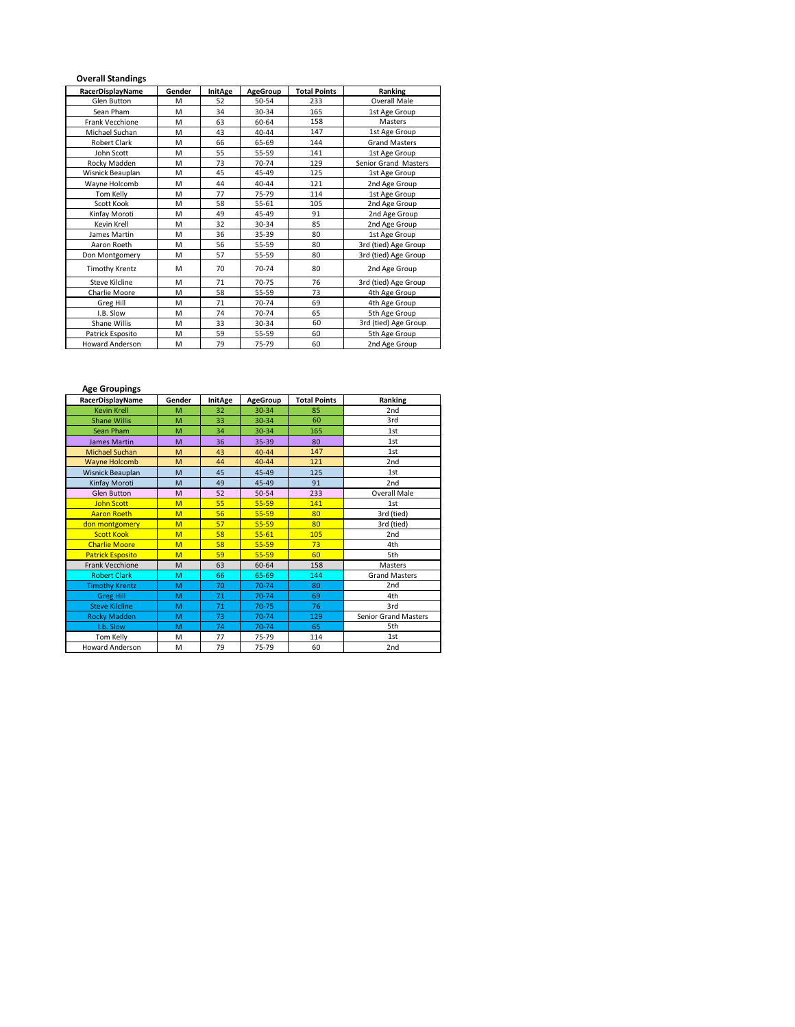## **Overall Standings**

| RacerDisplayName       | Gender | InitAge | <b>AgeGroup</b> | <b>Total Points</b> | Ranking              |  |
|------------------------|--------|---------|-----------------|---------------------|----------------------|--|
| <b>Glen Button</b>     | M      | 52      | 50-54           | 233                 | Overall Male         |  |
| Sean Pham              | M      | 34      | 30-34           | 165                 | 1st Age Group        |  |
| Frank Vecchione        | M      | 63      | 60-64           | 158                 | Masters              |  |
| Michael Suchan         | M      | 43      | 40-44           | 147                 | 1st Age Group        |  |
| Robert Clark           | M      | 66      | 65-69           | 144                 | <b>Grand Masters</b> |  |
| John Scott             | M      | 55      | 55-59           | 141                 | 1st Age Group        |  |
| Rocky Madden           | M      | 73      | 70-74           | 129                 | Senior Grand Masters |  |
| Wisnick Beauplan       | M      | 45      | 45-49           | 125                 | 1st Age Group        |  |
| Wayne Holcomb          | M      | 44      | 40-44           | 121                 | 2nd Age Group        |  |
| Tom Kelly              | M      | 77      | 75-79           | 114                 | 1st Age Group        |  |
| Scott Kook             | M      | 58      | 55-61           | 105                 | 2nd Age Group        |  |
| Kinfay Moroti          | M      | 49      | 45-49           | 91                  | 2nd Age Group        |  |
| Kevin Krell            | M      | 32      | 30-34           | 85                  | 2nd Age Group        |  |
| James Martin           | M      | 36      | 35-39           | 80                  | 1st Age Group        |  |
| Aaron Roeth            | M      | 56      | 55-59           | 80                  | 3rd (tied) Age Group |  |
| Don Montgomery         | M      | 57      | 55-59           | 80                  | 3rd (tied) Age Group |  |
| <b>Timothy Krentz</b>  | M      | 70      | 70-74           | 80                  | 2nd Age Group        |  |
| Steve Kilcline         | M      | 71      | 70-75           | 76                  | 3rd (tied) Age Group |  |
| Charlie Moore          | M      | 58      | 55-59           | 73                  | 4th Age Group        |  |
| Greg Hill              | M      | 71      | 70-74           | 69                  | 4th Age Group        |  |
| I.B. Slow              | M      | 74      | 70-74           | 65                  | 5th Age Group        |  |
| Shane Willis           | M      | 33      | 30-34           | 60                  | 3rd (tied) Age Group |  |
| Patrick Esposito       | M      | 59      | 55-59           | 60                  | 5th Age Group        |  |
| <b>Howard Anderson</b> | M      | 79      | 75-79           | 60                  | 2nd Age Group        |  |

| <b>Age Groupings</b>    |        |                |                 |                     |                             |  |  |
|-------------------------|--------|----------------|-----------------|---------------------|-----------------------------|--|--|
| RacerDisplayName        | Gender | <b>InitAge</b> | <b>AgeGroup</b> | <b>Total Points</b> | Ranking                     |  |  |
| <b>Kevin Krell</b>      | M      | 32             | 30-34           | 85                  | 2 <sub>nd</sub>             |  |  |
| <b>Shane Willis</b>     | M      | 33             | 30-34           | 60                  | 3rd                         |  |  |
| Sean Pham               | M      | 34             | 30-34           | 165                 | 1st                         |  |  |
| <b>James Martin</b>     | M      | 36             | 35-39           | 80                  | 1st                         |  |  |
| <b>Michael Suchan</b>   | M      | 43             | $40 - 44$       | 147                 | 1st                         |  |  |
| <b>Wayne Holcomb</b>    | M      | 44             | $40 - 44$       | 121                 | 2nd                         |  |  |
| Wisnick Beauplan        | M      | 45             | 45-49           | 125                 | 1st                         |  |  |
| Kinfay Moroti           | M      | 49             | 45-49           | 91                  | 2 <sub>nd</sub>             |  |  |
| <b>Glen Button</b>      | M      | 52             | 50-54           | 233                 | <b>Overall Male</b>         |  |  |
| <b>John Scott</b>       | M      | 55             | 55-59           | 141                 | 1st                         |  |  |
| <b>Aaron Roeth</b>      | M      | 56             | 55-59           | 80                  | 3rd (tied)                  |  |  |
| don montgomery          | M      | 57             | $55 - 59$       | 80                  | 3rd (tied)                  |  |  |
| <b>Scott Kook</b>       | M      | 58             | $55 - 61$       | 105                 | 2 <sub>nd</sub>             |  |  |
| <b>Charlie Moore</b>    | M      | 58             | 55-59           | 73                  | 4th                         |  |  |
| <b>Patrick Esposito</b> | M      | 59             | $55 - 59$       | 60                  | 5th                         |  |  |
| Frank Vecchione         | M      | 63             | 60-64           | 158                 | Masters                     |  |  |
| <b>Robert Clark</b>     | M      | 66             | 65-69           | 144                 | <b>Grand Masters</b>        |  |  |
| <b>Timothy Krentz</b>   | M      | 70             | $70 - 74$       | 80                  | 2nd                         |  |  |
| <b>Greg Hill</b>        | M      | 71             | 70-74           | 69                  | 4th                         |  |  |
| <b>Steve Kilcline</b>   | M      | 71             | $70 - 75$       | 76                  | 3rd                         |  |  |
| <b>Rocky Madden</b>     | M      | 73             | $70 - 74$       | 129                 | <b>Senior Grand Masters</b> |  |  |
| I.b. Slow               | M      | 74             | 70-74           | 65                  | 5th                         |  |  |
| Tom Kelly               | M      | 77             | 75-79           | 114                 | 1st                         |  |  |
| <b>Howard Anderson</b>  | M      | 79             | 75-79           | 60                  | 2 <sub>nd</sub>             |  |  |